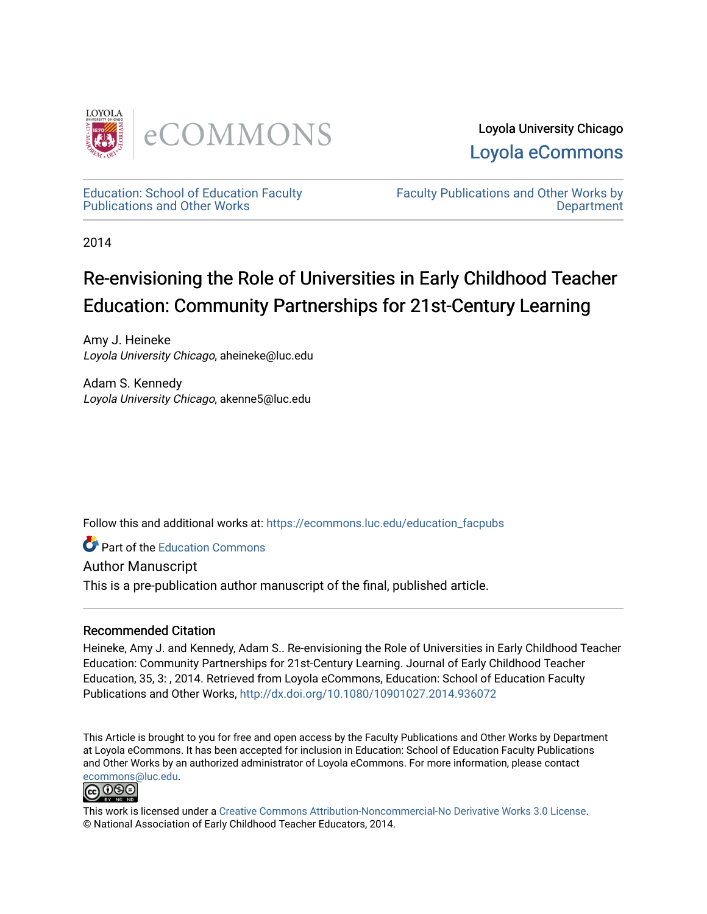

Loyola University Chicago [Loyola eCommons](https://ecommons.luc.edu/) 

[Education: School of Education Faculty](https://ecommons.luc.edu/education_facpubs)  [Publications and Other Works](https://ecommons.luc.edu/education_facpubs) 

[Faculty Publications and Other Works by](https://ecommons.luc.edu/faculty)  **Department** 

2014

# Re-envisioning the Role of Universities in Early Childhood Teacher Education: Community Partnerships for 21st-Century Learning

Amy J. Heineke Loyola University Chicago, aheineke@luc.edu

Adam S. Kennedy Loyola University Chicago, akenne5@luc.edu

Follow this and additional works at: [https://ecommons.luc.edu/education\\_facpubs](https://ecommons.luc.edu/education_facpubs?utm_source=ecommons.luc.edu%2Feducation_facpubs%2F34&utm_medium=PDF&utm_campaign=PDFCoverPages) 

**Part of the [Education Commons](http://network.bepress.com/hgg/discipline/784?utm_source=ecommons.luc.edu%2Feducation_facpubs%2F34&utm_medium=PDF&utm_campaign=PDFCoverPages)** 

Author Manuscript

This is a pre-publication author manuscript of the final, published article.

# Recommended Citation

Heineke, Amy J. and Kennedy, Adam S.. Re-envisioning the Role of Universities in Early Childhood Teacher Education: Community Partnerships for 21st-Century Learning. Journal of Early Childhood Teacher Education, 35, 3: , 2014. Retrieved from Loyola eCommons, Education: School of Education Faculty Publications and Other Works, <http://dx.doi.org/10.1080/10901027.2014.936072>

This Article is brought to you for free and open access by the Faculty Publications and Other Works by Department at Loyola eCommons. It has been accepted for inclusion in Education: School of Education Faculty Publications and Other Works by an authorized administrator of Loyola eCommons. For more information, please contact [ecommons@luc.edu](mailto:ecommons@luc.edu).



This work is licensed under a [Creative Commons Attribution-Noncommercial-No Derivative Works 3.0 License.](https://creativecommons.org/licenses/by-nc-nd/3.0/) © National Association of Early Childhood Teacher Educators, 2014.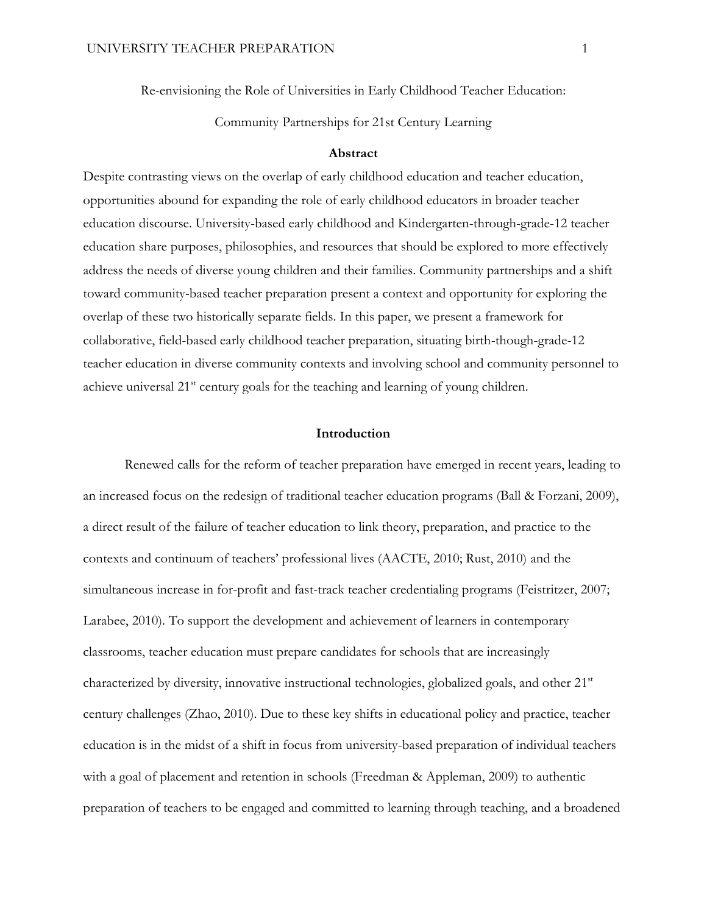Re-envisioning the Role of Universities in Early Childhood Teacher Education:

Community Partnerships for 21st Century Learning

## **Abstract**

Despite contrasting views on the overlap of early childhood education and teacher education, opportunities abound for expanding the role of early childhood educators in broader teacher education discourse. University-based early childhood and Kindergarten-through-grade-12 teacher education share purposes, philosophies, and resources that should be explored to more effectively address the needs of diverse young children and their families. Community partnerships and a shift toward community-based teacher preparation present a context and opportunity for exploring the overlap of these two historically separate fields. In this paper, we present a framework for collaborative, field-based early childhood teacher preparation, situating birth-though-grade-12 teacher education in diverse community contexts and involving school and community personnel to achieve universal 21<sup>st</sup> century goals for the teaching and learning of young children.

#### **Introduction**

Renewed calls for the reform of teacher preparation have emerged in recent years, leading to an increased focus on the redesign of traditional teacher education programs (Ball & Forzani, 2009), a direct result of the failure of teacher education to link theory, preparation, and practice to the contexts and continuum of teachers' professional lives (AACTE, 2010; Rust, 2010) and the simultaneous increase in for-profit and fast-track teacher credentialing programs (Feistritzer, 2007; Larabee, 2010). To support the development and achievement of learners in contemporary classrooms, teacher education must prepare candidates for schools that are increasingly characterized by diversity, innovative instructional technologies, globalized goals, and other 21<sup>st</sup> century challenges (Zhao, 2010). Due to these key shifts in educational policy and practice, teacher education is in the midst of a shift in focus from university-based preparation of individual teachers with a goal of placement and retention in schools (Freedman & Appleman, 2009) to authentic preparation of teachers to be engaged and committed to learning through teaching, and a broadened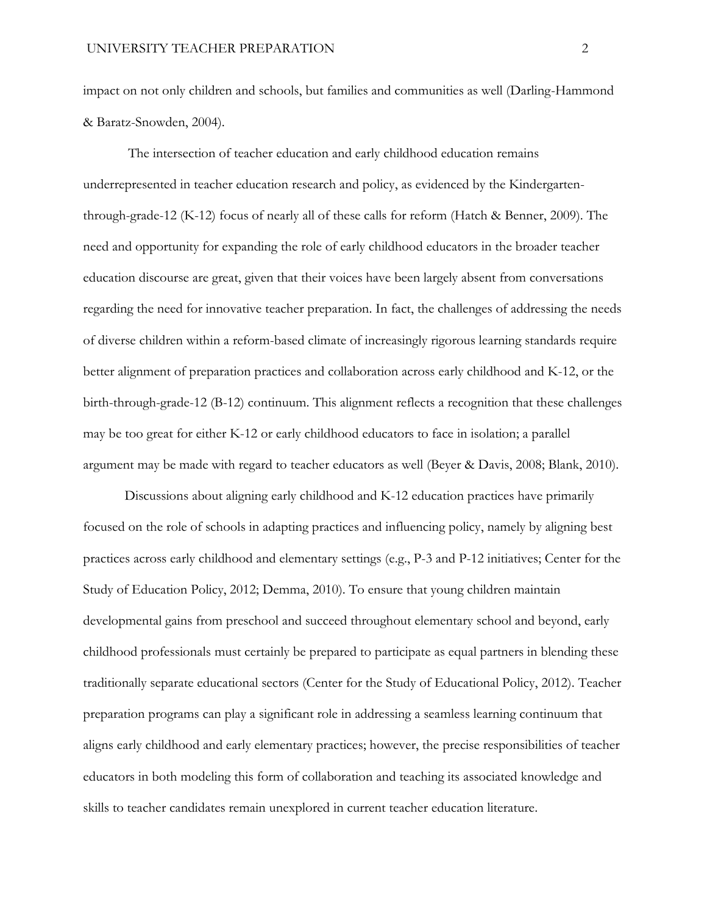impact on not only children and schools, but families and communities as well (Darling-Hammond & Baratz-Snowden, 2004).

The intersection of teacher education and early childhood education remains underrepresented in teacher education research and policy, as evidenced by the Kindergartenthrough-grade-12 (K-12) focus of nearly all of these calls for reform (Hatch & Benner, 2009). The need and opportunity for expanding the role of early childhood educators in the broader teacher education discourse are great, given that their voices have been largely absent from conversations regarding the need for innovative teacher preparation. In fact, the challenges of addressing the needs of diverse children within a reform-based climate of increasingly rigorous learning standards require better alignment of preparation practices and collaboration across early childhood and K-12, or the birth-through-grade-12 (B-12) continuum. This alignment reflects a recognition that these challenges may be too great for either K-12 or early childhood educators to face in isolation; a parallel argument may be made with regard to teacher educators as well (Beyer & Davis, 2008; Blank, 2010).

Discussions about aligning early childhood and K-12 education practices have primarily focused on the role of schools in adapting practices and influencing policy, namely by aligning best practices across early childhood and elementary settings (e.g., P-3 and P-12 initiatives; Center for the Study of Education Policy, 2012; Demma, 2010). To ensure that young children maintain developmental gains from preschool and succeed throughout elementary school and beyond, early childhood professionals must certainly be prepared to participate as equal partners in blending these traditionally separate educational sectors (Center for the Study of Educational Policy, 2012). Teacher preparation programs can play a significant role in addressing a seamless learning continuum that aligns early childhood and early elementary practices; however, the precise responsibilities of teacher educators in both modeling this form of collaboration and teaching its associated knowledge and skills to teacher candidates remain unexplored in current teacher education literature.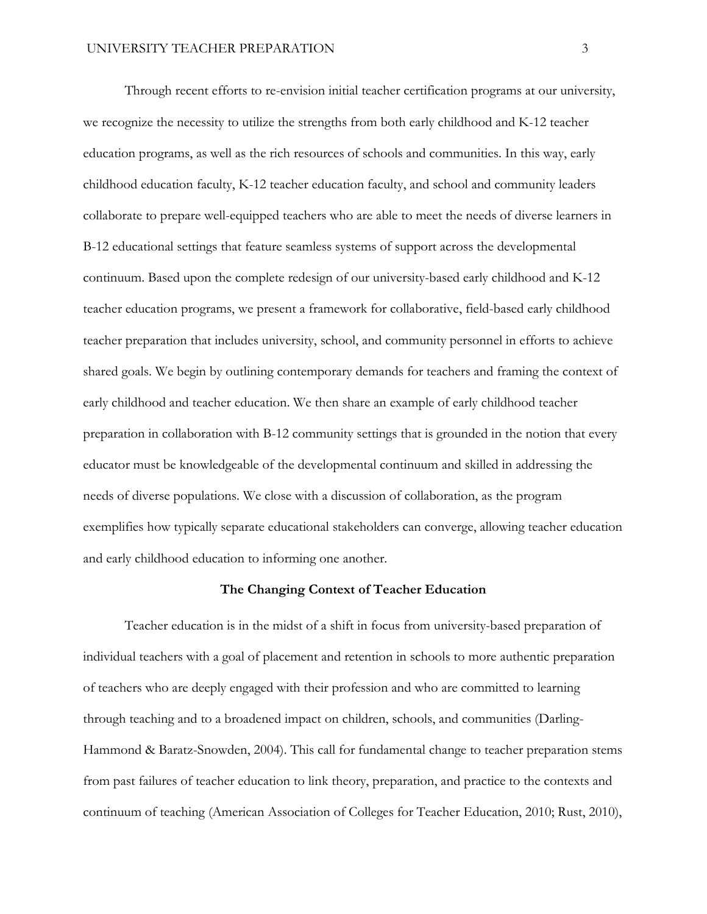Through recent efforts to re-envision initial teacher certification programs at our university, we recognize the necessity to utilize the strengths from both early childhood and K-12 teacher education programs, as well as the rich resources of schools and communities. In this way, early childhood education faculty, K-12 teacher education faculty, and school and community leaders collaborate to prepare well-equipped teachers who are able to meet the needs of diverse learners in B-12 educational settings that feature seamless systems of support across the developmental continuum. Based upon the complete redesign of our university-based early childhood and K-12 teacher education programs, we present a framework for collaborative, field-based early childhood teacher preparation that includes university, school, and community personnel in efforts to achieve shared goals. We begin by outlining contemporary demands for teachers and framing the context of early childhood and teacher education. We then share an example of early childhood teacher preparation in collaboration with B-12 community settings that is grounded in the notion that every educator must be knowledgeable of the developmental continuum and skilled in addressing the needs of diverse populations. We close with a discussion of collaboration, as the program exemplifies how typically separate educational stakeholders can converge, allowing teacher education and early childhood education to informing one another.

## **The Changing Context of Teacher Education**

Teacher education is in the midst of a shift in focus from university-based preparation of individual teachers with a goal of placement and retention in schools to more authentic preparation of teachers who are deeply engaged with their profession and who are committed to learning through teaching and to a broadened impact on children, schools, and communities (Darling-Hammond & Baratz-Snowden, 2004). This call for fundamental change to teacher preparation stems from past failures of teacher education to link theory, preparation, and practice to the contexts and continuum of teaching (American Association of Colleges for Teacher Education, 2010; Rust, 2010),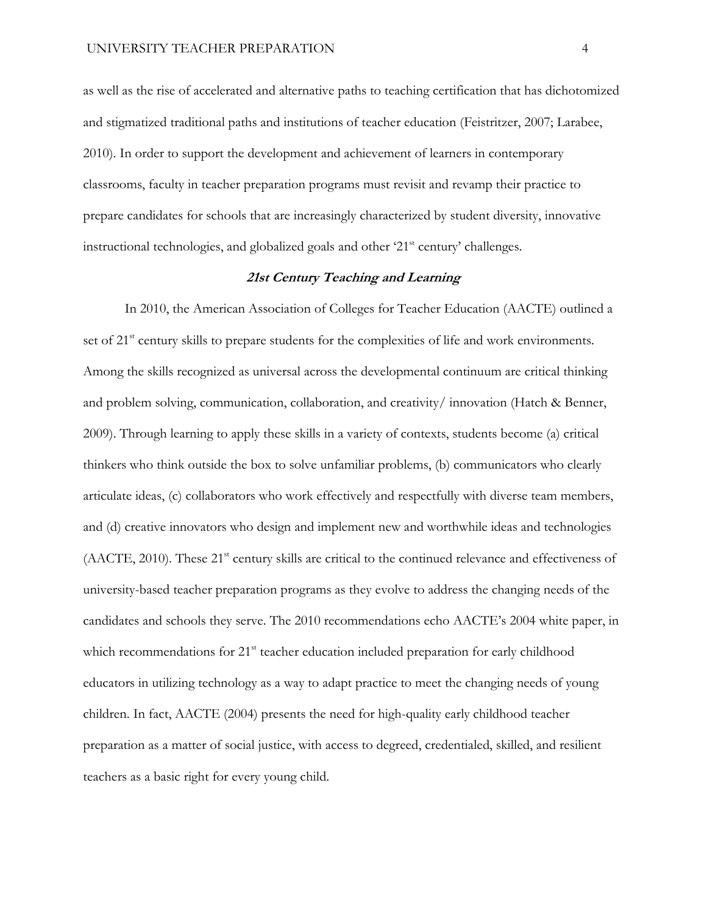as well as the rise of accelerated and alternative paths to teaching certification that has dichotomized and stigmatized traditional paths and institutions of teacher education (Feistritzer, 2007; Larabee, 2010). In order to support the development and achievement of learners in contemporary classrooms, faculty in teacher preparation programs must revisit and revamp their practice to prepare candidates for schools that are increasingly characterized by student diversity, innovative instructional technologies, and globalized goals and other '21<sup>st</sup> century' challenges.

### **21st Century Teaching and Learning**

In 2010, the American Association of Colleges for Teacher Education (AACTE) outlined a set of  $21<sup>st</sup>$  century skills to prepare students for the complexities of life and work environments. Among the skills recognized as universal across the developmental continuum are critical thinking and problem solving, communication, collaboration, and creativity/ innovation (Hatch & Benner, 2009). Through learning to apply these skills in a variety of contexts, students become (a) critical thinkers who think outside the box to solve unfamiliar problems, (b) communicators who clearly articulate ideas, (c) collaborators who work effectively and respectfully with diverse team members, and (d) creative innovators who design and implement new and worthwhile ideas and technologies (AACTE, 2010). These 21<sup>st</sup> century skills are critical to the continued relevance and effectiveness of university-based teacher preparation programs as they evolve to address the changing needs of the candidates and schools they serve. The 2010 recommendations echo AACTE's 2004 white paper, in which recommendations for 21<sup>st</sup> teacher education included preparation for early childhood educators in utilizing technology as a way to adapt practice to meet the changing needs of young children. In fact, AACTE (2004) presents the need for high-quality early childhood teacher preparation as a matter of social justice, with access to degreed, credentialed, skilled, and resilient teachers as a basic right for every young child.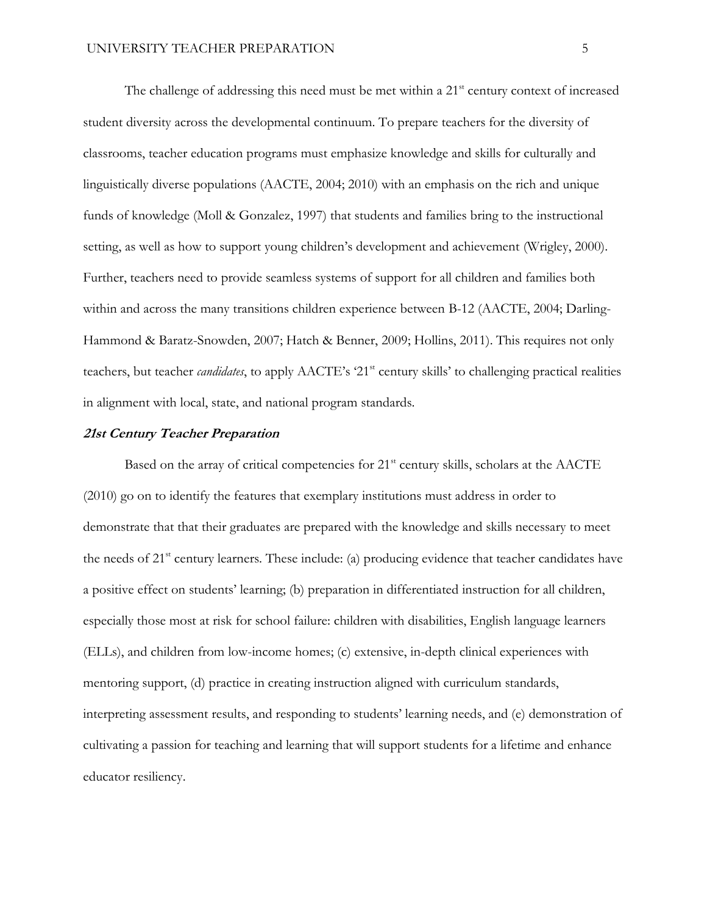The challenge of addressing this need must be met within a 21<sup>st</sup> century context of increased student diversity across the developmental continuum. To prepare teachers for the diversity of classrooms, teacher education programs must emphasize knowledge and skills for culturally and linguistically diverse populations (AACTE, 2004; 2010) with an emphasis on the rich and unique funds of knowledge (Moll & Gonzalez, 1997) that students and families bring to the instructional setting, as well as how to support young children's development and achievement (Wrigley, 2000). Further, teachers need to provide seamless systems of support for all children and families both within and across the many transitions children experience between B-12 (AACTE, 2004; Darling-Hammond & Baratz-Snowden, 2007; Hatch & Benner, 2009; Hollins, 2011). This requires not only teachers, but teacher *candidates*, to apply AACTE's '21<sup>st</sup> century skills' to challenging practical realities in alignment with local, state, and national program standards.

## **21st Century Teacher Preparation**

Based on the array of critical competencies for  $21<sup>st</sup>$  century skills, scholars at the AACTE (2010) go on to identify the features that exemplary institutions must address in order to demonstrate that that their graduates are prepared with the knowledge and skills necessary to meet the needs of  $21<sup>st</sup>$  century learners. These include: (a) producing evidence that teacher candidates have a positive effect on students' learning; (b) preparation in differentiated instruction for all children, especially those most at risk for school failure: children with disabilities, English language learners (ELLs), and children from low-income homes; (c) extensive, in-depth clinical experiences with mentoring support, (d) practice in creating instruction aligned with curriculum standards, interpreting assessment results, and responding to students' learning needs, and (e) demonstration of cultivating a passion for teaching and learning that will support students for a lifetime and enhance educator resiliency.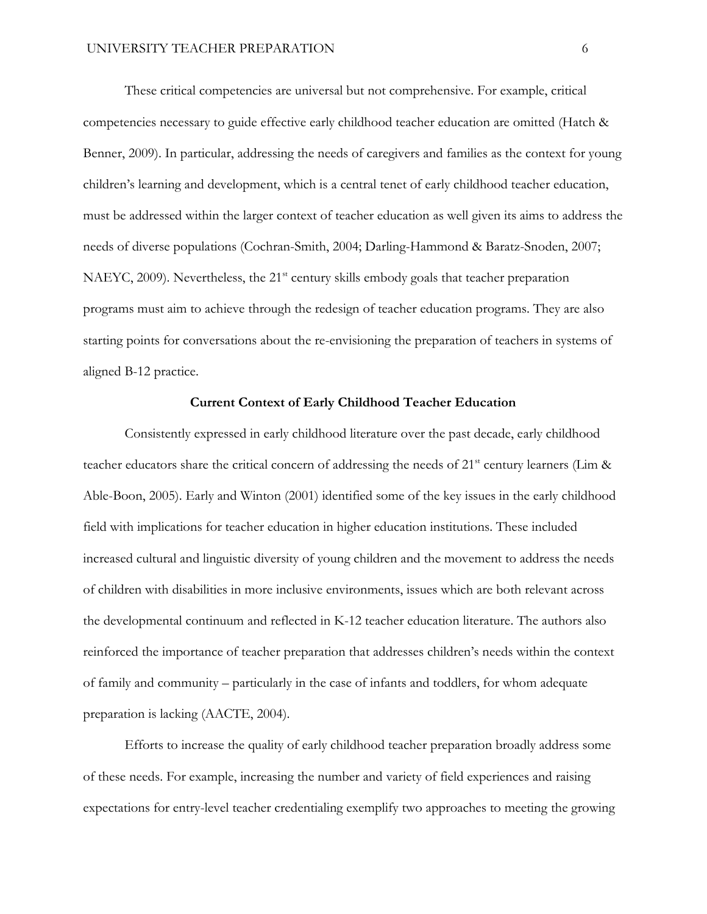These critical competencies are universal but not comprehensive. For example, critical competencies necessary to guide effective early childhood teacher education are omitted (Hatch & Benner, 2009). In particular, addressing the needs of caregivers and families as the context for young children's learning and development, which is a central tenet of early childhood teacher education, must be addressed within the larger context of teacher education as well given its aims to address the needs of diverse populations (Cochran-Smith, 2004; Darling-Hammond & Baratz-Snoden, 2007; NAEYC, 2009). Nevertheless, the  $21<sup>st</sup>$  century skills embody goals that teacher preparation programs must aim to achieve through the redesign of teacher education programs. They are also starting points for conversations about the re-envisioning the preparation of teachers in systems of aligned B-12 practice.

#### **Current Context of Early Childhood Teacher Education**

Consistently expressed in early childhood literature over the past decade, early childhood teacher educators share the critical concern of addressing the needs of  $21<sup>st</sup>$  century learners (Lim & Able-Boon, 2005). Early and Winton (2001) identified some of the key issues in the early childhood field with implications for teacher education in higher education institutions. These included increased cultural and linguistic diversity of young children and the movement to address the needs of children with disabilities in more inclusive environments, issues which are both relevant across the developmental continuum and reflected in K-12 teacher education literature. The authors also reinforced the importance of teacher preparation that addresses children's needs within the context of family and community – particularly in the case of infants and toddlers, for whom adequate preparation is lacking (AACTE, 2004).

Efforts to increase the quality of early childhood teacher preparation broadly address some of these needs. For example, increasing the number and variety of field experiences and raising expectations for entry-level teacher credentialing exemplify two approaches to meeting the growing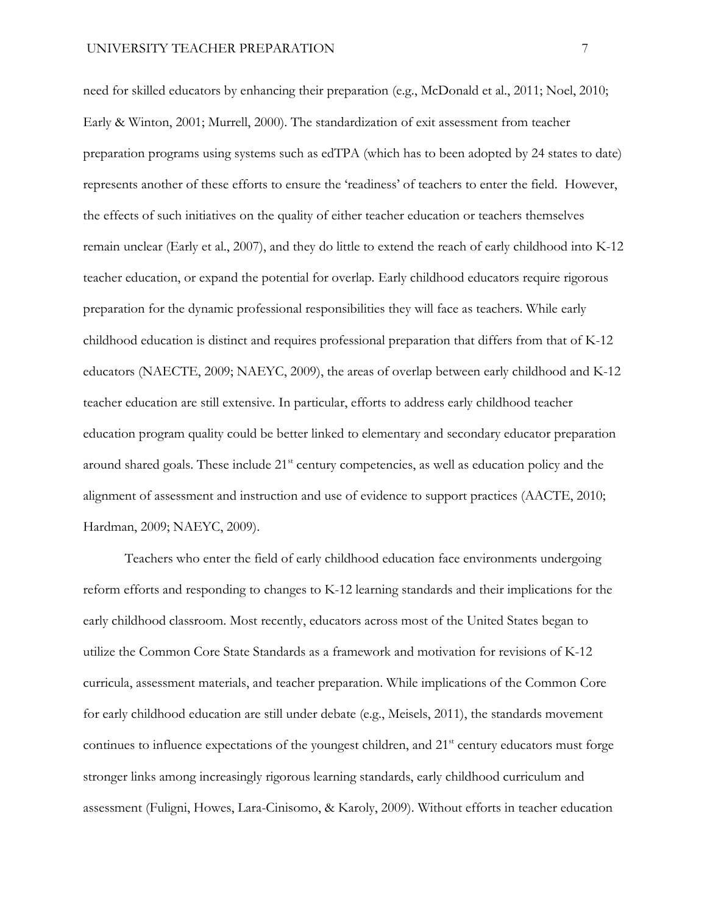need for skilled educators by enhancing their preparation (e.g., McDonald et al., 2011; Noel, 2010; Early & Winton, 2001; Murrell, 2000). The standardization of exit assessment from teacher preparation programs using systems such as edTPA (which has to been adopted by 24 states to date) represents another of these efforts to ensure the 'readiness' of teachers to enter the field. However, the effects of such initiatives on the quality of either teacher education or teachers themselves remain unclear (Early et al., 2007), and they do little to extend the reach of early childhood into K-12 teacher education, or expand the potential for overlap. Early childhood educators require rigorous preparation for the dynamic professional responsibilities they will face as teachers. While early childhood education is distinct and requires professional preparation that differs from that of K-12 educators (NAECTE, 2009; NAEYC, 2009), the areas of overlap between early childhood and K-12 teacher education are still extensive. In particular, efforts to address early childhood teacher education program quality could be better linked to elementary and secondary educator preparation around shared goals. These include 21<sup>st</sup> century competencies, as well as education policy and the alignment of assessment and instruction and use of evidence to support practices (AACTE, 2010; Hardman, 2009; NAEYC, 2009).

Teachers who enter the field of early childhood education face environments undergoing reform efforts and responding to changes to K-12 learning standards and their implications for the early childhood classroom. Most recently, educators across most of the United States began to utilize the Common Core State Standards as a framework and motivation for revisions of K-12 curricula, assessment materials, and teacher preparation. While implications of the Common Core for early childhood education are still under debate (e.g., Meisels, 2011), the standards movement continues to influence expectations of the youngest children, and  $21<sup>st</sup>$  century educators must forge stronger links among increasingly rigorous learning standards, early childhood curriculum and assessment (Fuligni, Howes, Lara-Cinisomo, & Karoly, 2009). Without efforts in teacher education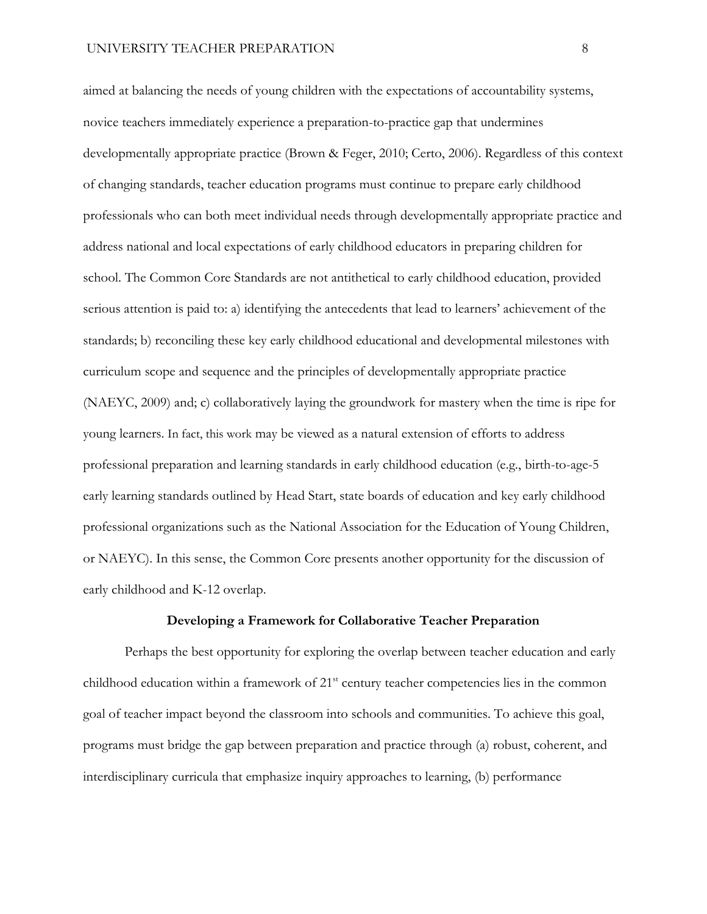aimed at balancing the needs of young children with the expectations of accountability systems, novice teachers immediately experience a preparation-to-practice gap that undermines developmentally appropriate practice (Brown & Feger, 2010; Certo, 2006). Regardless of this context of changing standards, teacher education programs must continue to prepare early childhood professionals who can both meet individual needs through developmentally appropriate practice and address national and local expectations of early childhood educators in preparing children for school. The Common Core Standards are not antithetical to early childhood education, provided serious attention is paid to: a) identifying the antecedents that lead to learners' achievement of the standards; b) reconciling these key early childhood educational and developmental milestones with curriculum scope and sequence and the principles of developmentally appropriate practice (NAEYC, 2009) and; c) collaboratively laying the groundwork for mastery when the time is ripe for young learners. In fact, this work may be viewed as a natural extension of efforts to address professional preparation and learning standards in early childhood education (e.g., birth-to-age-5 early learning standards outlined by Head Start, state boards of education and key early childhood professional organizations such as the National Association for the Education of Young Children, or NAEYC). In this sense, the Common Core presents another opportunity for the discussion of early childhood and K-12 overlap.

#### **Developing a Framework for Collaborative Teacher Preparation**

Perhaps the best opportunity for exploring the overlap between teacher education and early childhood education within a framework of  $21<sup>st</sup>$  century teacher competencies lies in the common goal of teacher impact beyond the classroom into schools and communities. To achieve this goal, programs must bridge the gap between preparation and practice through (a) robust, coherent, and interdisciplinary curricula that emphasize inquiry approaches to learning, (b) performance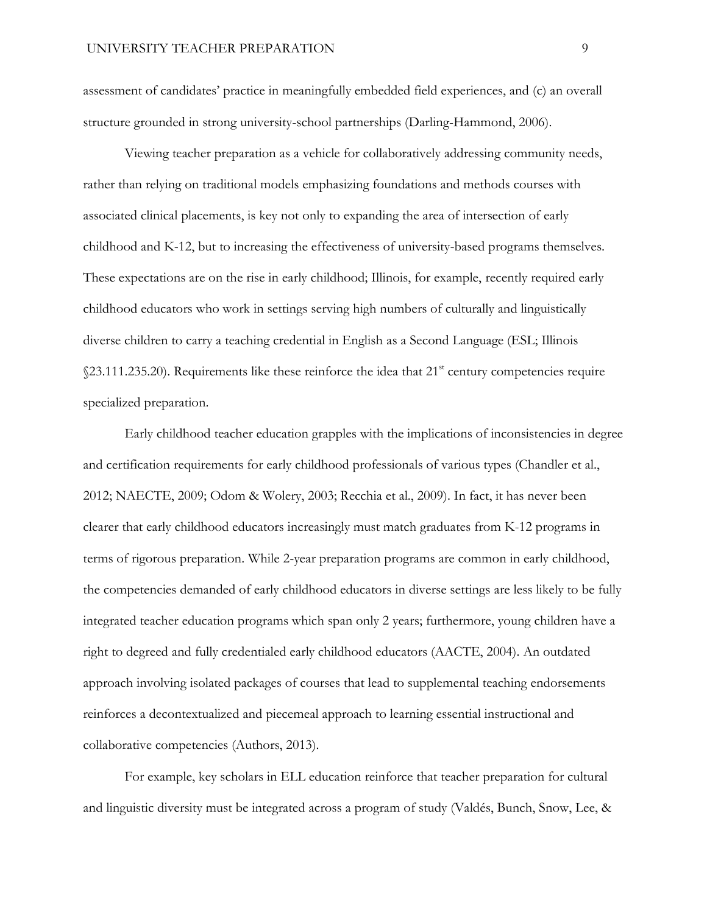assessment of candidates' practice in meaningfully embedded field experiences, and (c) an overall structure grounded in strong university-school partnerships (Darling-Hammond, 2006).

Viewing teacher preparation as a vehicle for collaboratively addressing community needs, rather than relying on traditional models emphasizing foundations and methods courses with associated clinical placements, is key not only to expanding the area of intersection of early childhood and K-12, but to increasing the effectiveness of university-based programs themselves. These expectations are on the rise in early childhood; Illinois, for example, recently required early childhood educators who work in settings serving high numbers of culturally and linguistically diverse children to carry a teaching credential in English as a Second Language (ESL; Illinois  $$23.111.235.20$ ). Requirements like these reinforce the idea that  $21<sup>st</sup>$  century competencies require specialized preparation.

Early childhood teacher education grapples with the implications of inconsistencies in degree and certification requirements for early childhood professionals of various types (Chandler et al., 2012; NAECTE, 2009; Odom & Wolery, 2003; Recchia et al., 2009). In fact, it has never been clearer that early childhood educators increasingly must match graduates from K-12 programs in terms of rigorous preparation. While 2-year preparation programs are common in early childhood, the competencies demanded of early childhood educators in diverse settings are less likely to be fully integrated teacher education programs which span only 2 years; furthermore, young children have a right to degreed and fully credentialed early childhood educators (AACTE, 2004). An outdated approach involving isolated packages of courses that lead to supplemental teaching endorsements reinforces a decontextualized and piecemeal approach to learning essential instructional and collaborative competencies (Authors, 2013).

For example, key scholars in ELL education reinforce that teacher preparation for cultural and linguistic diversity must be integrated across a program of study (Valdés, Bunch, Snow, Lee, &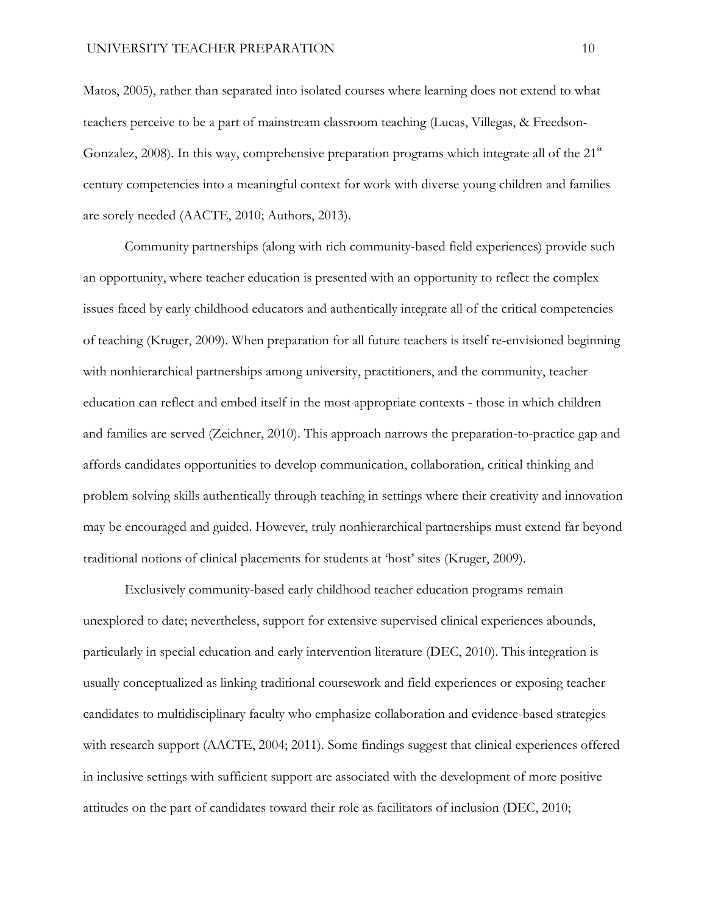Matos, 2005), rather than separated into isolated courses where learning does not extend to what teachers perceive to be a part of mainstream classroom teaching (Lucas, Villegas, & Freedson-Gonzalez, 2008). In this way, comprehensive preparation programs which integrate all of the  $21<sup>st</sup>$ century competencies into a meaningful context for work with diverse young children and families are sorely needed (AACTE, 2010; Authors, 2013).

Community partnerships (along with rich community-based field experiences) provide such an opportunity, where teacher education is presented with an opportunity to reflect the complex issues faced by early childhood educators and authentically integrate all of the critical competencies of teaching (Kruger, 2009). When preparation for all future teachers is itself re-envisioned beginning with nonhierarchical partnerships among university, practitioners, and the community, teacher education can reflect and embed itself in the most appropriate contexts - those in which children and families are served (Zeichner, 2010). This approach narrows the preparation-to-practice gap and affords candidates opportunities to develop communication, collaboration, critical thinking and problem solving skills authentically through teaching in settings where their creativity and innovation may be encouraged and guided. However, truly nonhierarchical partnerships must extend far beyond traditional notions of clinical placements for students at 'host' sites (Kruger, 2009).

Exclusively community-based early childhood teacher education programs remain unexplored to date; nevertheless, support for extensive supervised clinical experiences abounds, particularly in special education and early intervention literature (DEC, 2010). This integration is usually conceptualized as linking traditional coursework and field experiences or exposing teacher candidates to multidisciplinary faculty who emphasize collaboration and evidence-based strategies with research support (AACTE, 2004; 2011). Some findings suggest that clinical experiences offered in inclusive settings with sufficient support are associated with the development of more positive attitudes on the part of candidates toward their role as facilitators of inclusion (DEC, 2010;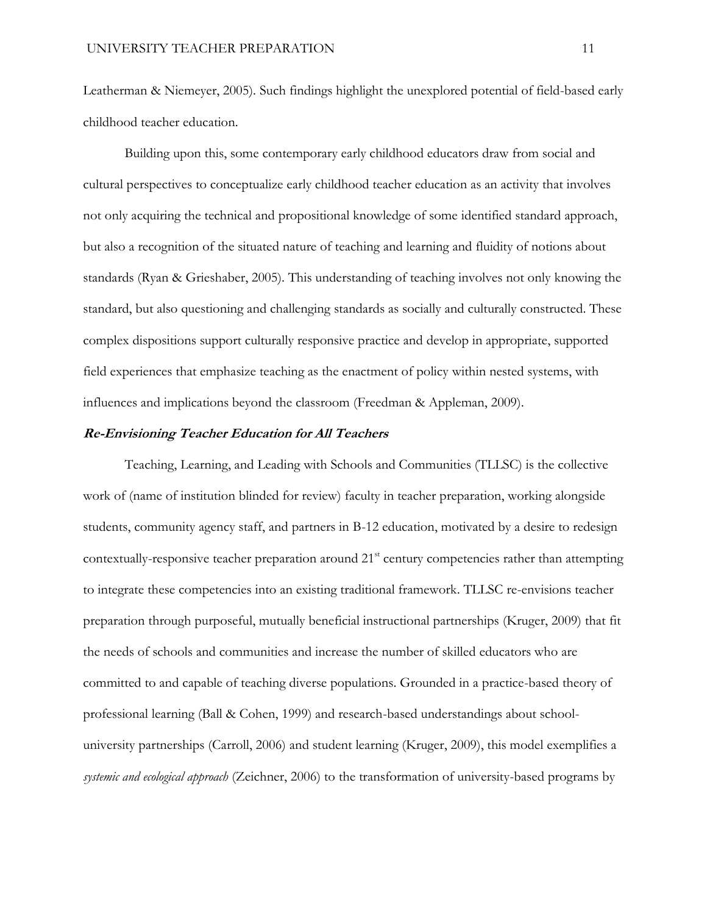Leatherman & Niemeyer, 2005). Such findings highlight the unexplored potential of field-based early childhood teacher education.

Building upon this, some contemporary early childhood educators draw from social and cultural perspectives to conceptualize early childhood teacher education as an activity that involves not only acquiring the technical and propositional knowledge of some identified standard approach, but also a recognition of the situated nature of teaching and learning and fluidity of notions about standards (Ryan & Grieshaber, 2005). This understanding of teaching involves not only knowing the standard, but also questioning and challenging standards as socially and culturally constructed. These complex dispositions support culturally responsive practice and develop in appropriate, supported field experiences that emphasize teaching as the enactment of policy within nested systems, with influences and implications beyond the classroom (Freedman & Appleman, 2009).

## **Re-Envisioning Teacher Education for All Teachers**

Teaching, Learning, and Leading with Schools and Communities (TLLSC) is the collective work of (name of institution blinded for review) faculty in teacher preparation, working alongside students, community agency staff, and partners in B-12 education, motivated by a desire to redesign contextually-responsive teacher preparation around 21<sup>st</sup> century competencies rather than attempting to integrate these competencies into an existing traditional framework. TLLSC re-envisions teacher preparation through purposeful, mutually beneficial instructional partnerships (Kruger, 2009) that fit the needs of schools and communities and increase the number of skilled educators who are committed to and capable of teaching diverse populations. Grounded in a practice-based theory of professional learning (Ball & Cohen, 1999) and research-based understandings about schooluniversity partnerships (Carroll, 2006) and student learning (Kruger, 2009), this model exemplifies a *systemic and ecological approach* (Zeichner, 2006) to the transformation of university-based programs by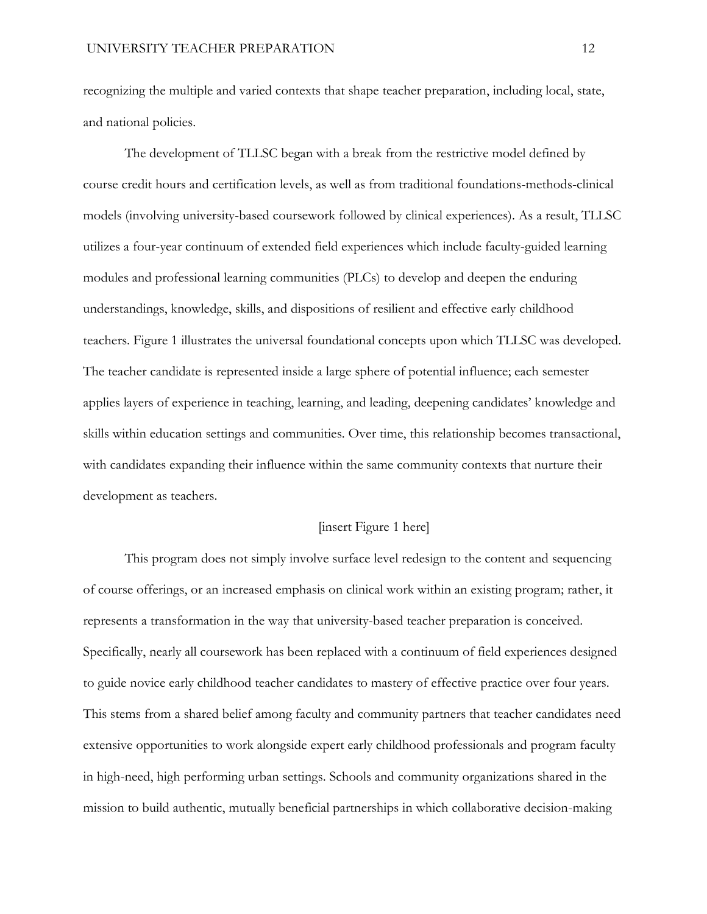recognizing the multiple and varied contexts that shape teacher preparation, including local, state, and national policies.

The development of TLLSC began with a break from the restrictive model defined by course credit hours and certification levels, as well as from traditional foundations-methods-clinical models (involving university-based coursework followed by clinical experiences). As a result, TLLSC utilizes a four-year continuum of extended field experiences which include faculty-guided learning modules and professional learning communities (PLCs) to develop and deepen the enduring understandings, knowledge, skills, and dispositions of resilient and effective early childhood teachers. Figure 1 illustrates the universal foundational concepts upon which TLLSC was developed. The teacher candidate is represented inside a large sphere of potential influence; each semester applies layers of experience in teaching, learning, and leading, deepening candidates' knowledge and skills within education settings and communities. Over time, this relationship becomes transactional, with candidates expanding their influence within the same community contexts that nurture their development as teachers.

## [insert Figure 1 here]

This program does not simply involve surface level redesign to the content and sequencing of course offerings, or an increased emphasis on clinical work within an existing program; rather, it represents a transformation in the way that university-based teacher preparation is conceived. Specifically, nearly all coursework has been replaced with a continuum of field experiences designed to guide novice early childhood teacher candidates to mastery of effective practice over four years. This stems from a shared belief among faculty and community partners that teacher candidates need extensive opportunities to work alongside expert early childhood professionals and program faculty in high-need, high performing urban settings. Schools and community organizations shared in the mission to build authentic, mutually beneficial partnerships in which collaborative decision-making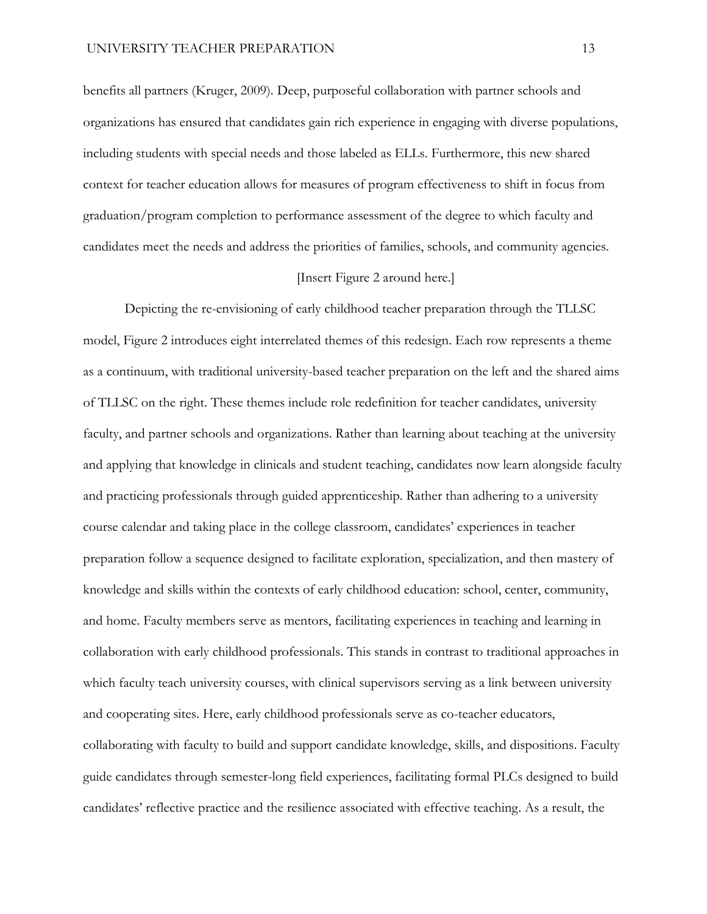benefits all partners (Kruger, 2009). Deep, purposeful collaboration with partner schools and organizations has ensured that candidates gain rich experience in engaging with diverse populations, including students with special needs and those labeled as ELLs. Furthermore, this new shared context for teacher education allows for measures of program effectiveness to shift in focus from graduation/program completion to performance assessment of the degree to which faculty and candidates meet the needs and address the priorities of families, schools, and community agencies.

## [Insert Figure 2 around here.]

Depicting the re-envisioning of early childhood teacher preparation through the TLLSC model, Figure 2 introduces eight interrelated themes of this redesign. Each row represents a theme as a continuum, with traditional university-based teacher preparation on the left and the shared aims of TLLSC on the right. These themes include role redefinition for teacher candidates, university faculty, and partner schools and organizations. Rather than learning about teaching at the university and applying that knowledge in clinicals and student teaching, candidates now learn alongside faculty and practicing professionals through guided apprenticeship. Rather than adhering to a university course calendar and taking place in the college classroom, candidates' experiences in teacher preparation follow a sequence designed to facilitate exploration, specialization, and then mastery of knowledge and skills within the contexts of early childhood education: school, center, community, and home. Faculty members serve as mentors, facilitating experiences in teaching and learning in collaboration with early childhood professionals. This stands in contrast to traditional approaches in which faculty teach university courses, with clinical supervisors serving as a link between university and cooperating sites. Here, early childhood professionals serve as co-teacher educators, collaborating with faculty to build and support candidate knowledge, skills, and dispositions. Faculty guide candidates through semester-long field experiences, facilitating formal PLCs designed to build candidates' reflective practice and the resilience associated with effective teaching. As a result, the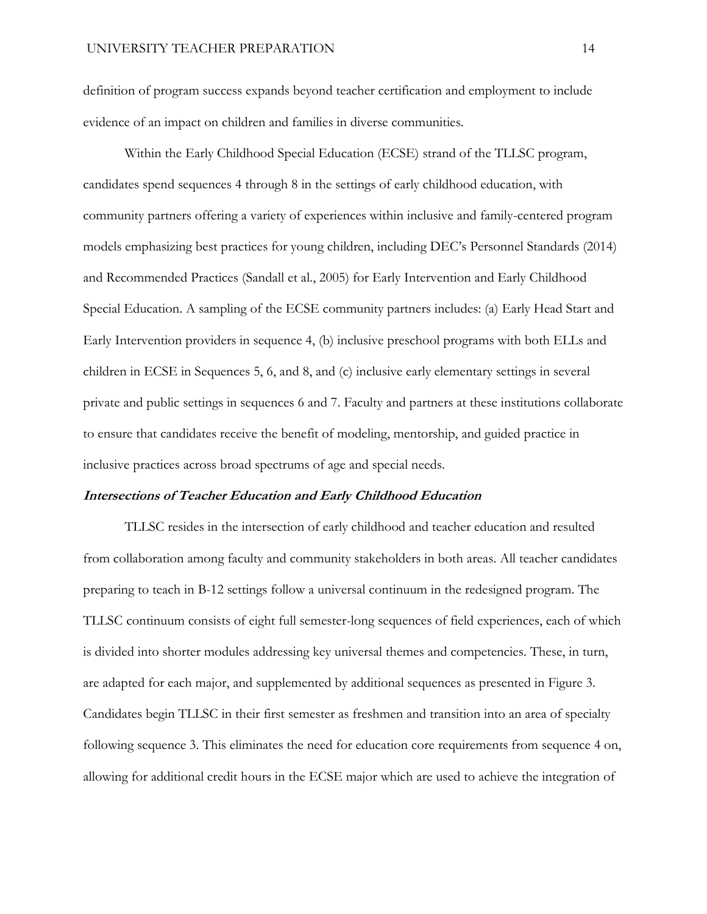definition of program success expands beyond teacher certification and employment to include evidence of an impact on children and families in diverse communities.

Within the Early Childhood Special Education (ECSE) strand of the TLLSC program, candidates spend sequences 4 through 8 in the settings of early childhood education, with community partners offering a variety of experiences within inclusive and family-centered program models emphasizing best practices for young children, including DEC's Personnel Standards (2014) and Recommended Practices (Sandall et al., 2005) for Early Intervention and Early Childhood Special Education. A sampling of the ECSE community partners includes: (a) Early Head Start and Early Intervention providers in sequence 4, (b) inclusive preschool programs with both ELLs and children in ECSE in Sequences 5, 6, and 8, and (c) inclusive early elementary settings in several private and public settings in sequences 6 and 7. Faculty and partners at these institutions collaborate to ensure that candidates receive the benefit of modeling, mentorship, and guided practice in inclusive practices across broad spectrums of age and special needs.

# **Intersections of Teacher Education and Early Childhood Education**

TLLSC resides in the intersection of early childhood and teacher education and resulted from collaboration among faculty and community stakeholders in both areas. All teacher candidates preparing to teach in B-12 settings follow a universal continuum in the redesigned program. The TLLSC continuum consists of eight full semester-long sequences of field experiences, each of which is divided into shorter modules addressing key universal themes and competencies. These, in turn, are adapted for each major, and supplemented by additional sequences as presented in Figure 3. Candidates begin TLLSC in their first semester as freshmen and transition into an area of specialty following sequence 3. This eliminates the need for education core requirements from sequence 4 on, allowing for additional credit hours in the ECSE major which are used to achieve the integration of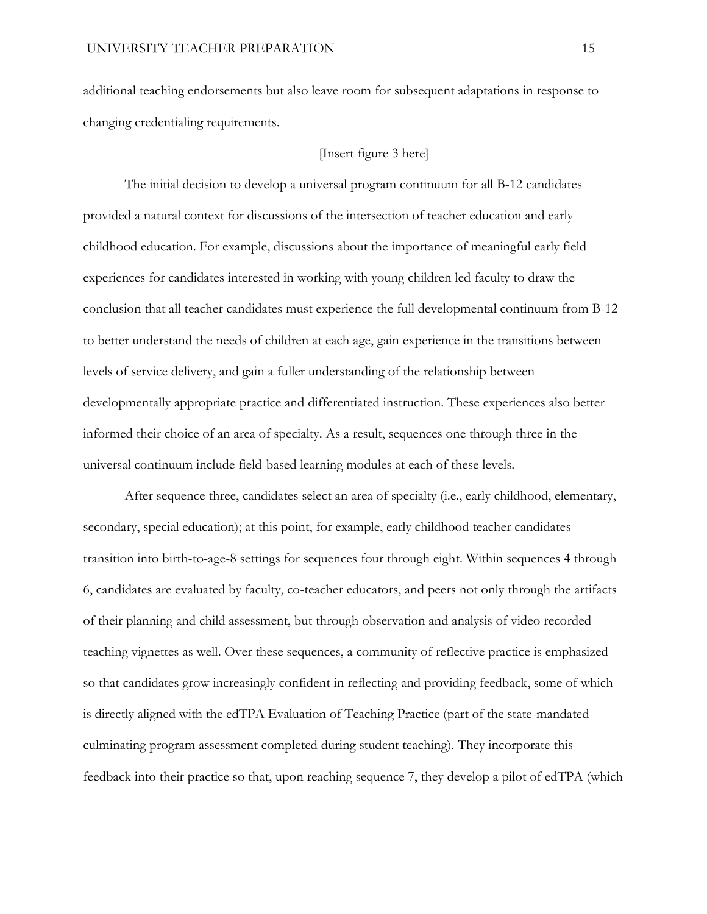additional teaching endorsements but also leave room for subsequent adaptations in response to changing credentialing requirements.

## [Insert figure 3 here]

The initial decision to develop a universal program continuum for all B-12 candidates provided a natural context for discussions of the intersection of teacher education and early childhood education. For example, discussions about the importance of meaningful early field experiences for candidates interested in working with young children led faculty to draw the conclusion that all teacher candidates must experience the full developmental continuum from B-12 to better understand the needs of children at each age, gain experience in the transitions between levels of service delivery, and gain a fuller understanding of the relationship between developmentally appropriate practice and differentiated instruction. These experiences also better informed their choice of an area of specialty. As a result, sequences one through three in the universal continuum include field-based learning modules at each of these levels.

After sequence three, candidates select an area of specialty (i.e., early childhood, elementary, secondary, special education); at this point, for example, early childhood teacher candidates transition into birth-to-age-8 settings for sequences four through eight. Within sequences 4 through 6, candidates are evaluated by faculty, co-teacher educators, and peers not only through the artifacts of their planning and child assessment, but through observation and analysis of video recorded teaching vignettes as well. Over these sequences, a community of reflective practice is emphasized so that candidates grow increasingly confident in reflecting and providing feedback, some of which is directly aligned with the edTPA Evaluation of Teaching Practice (part of the state-mandated culminating program assessment completed during student teaching). They incorporate this feedback into their practice so that, upon reaching sequence 7, they develop a pilot of edTPA (which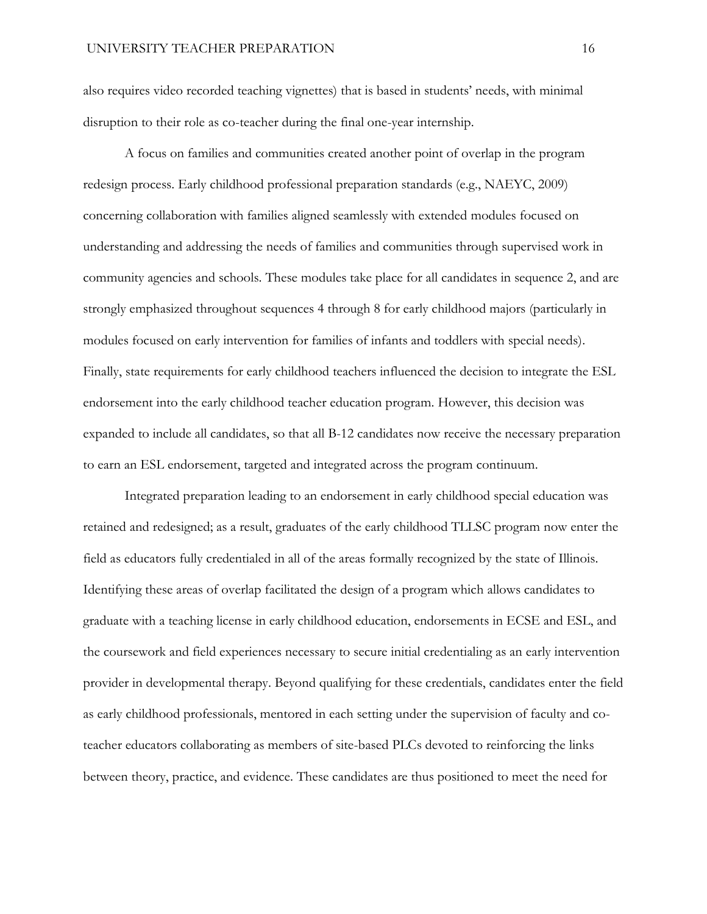also requires video recorded teaching vignettes) that is based in students' needs, with minimal disruption to their role as co-teacher during the final one-year internship.

A focus on families and communities created another point of overlap in the program redesign process. Early childhood professional preparation standards (e.g., NAEYC, 2009) concerning collaboration with families aligned seamlessly with extended modules focused on understanding and addressing the needs of families and communities through supervised work in community agencies and schools. These modules take place for all candidates in sequence 2, and are strongly emphasized throughout sequences 4 through 8 for early childhood majors (particularly in modules focused on early intervention for families of infants and toddlers with special needs). Finally, state requirements for early childhood teachers influenced the decision to integrate the ESL endorsement into the early childhood teacher education program. However, this decision was expanded to include all candidates, so that all B-12 candidates now receive the necessary preparation to earn an ESL endorsement, targeted and integrated across the program continuum.

Integrated preparation leading to an endorsement in early childhood special education was retained and redesigned; as a result, graduates of the early childhood TLLSC program now enter the field as educators fully credentialed in all of the areas formally recognized by the state of Illinois. Identifying these areas of overlap facilitated the design of a program which allows candidates to graduate with a teaching license in early childhood education, endorsements in ECSE and ESL, and the coursework and field experiences necessary to secure initial credentialing as an early intervention provider in developmental therapy. Beyond qualifying for these credentials, candidates enter the field as early childhood professionals, mentored in each setting under the supervision of faculty and coteacher educators collaborating as members of site-based PLCs devoted to reinforcing the links between theory, practice, and evidence. These candidates are thus positioned to meet the need for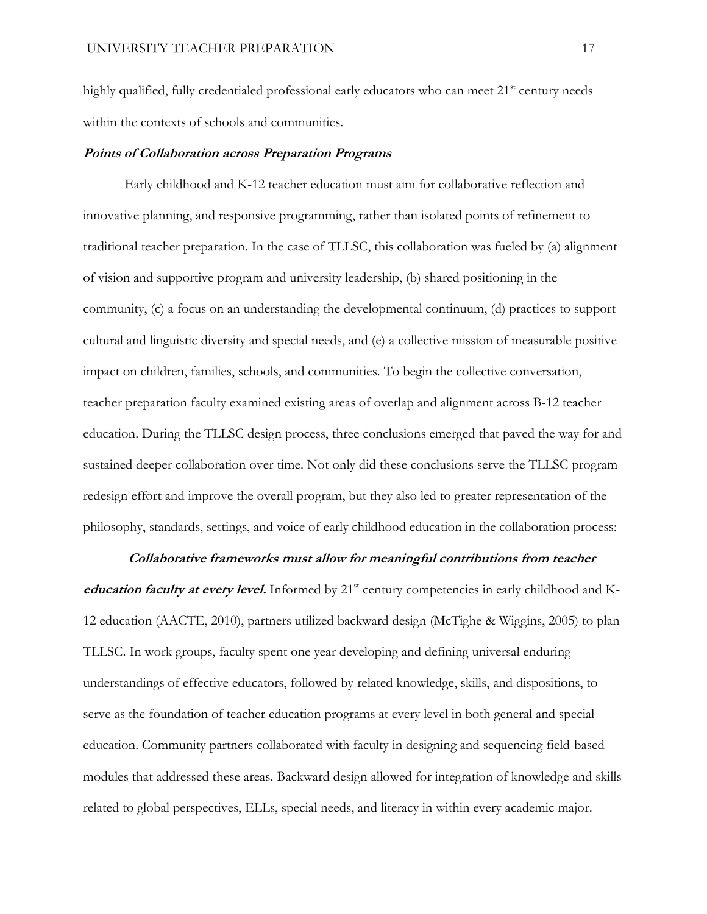highly qualified, fully credentialed professional early educators who can meet 21<sup>st</sup> century needs within the contexts of schools and communities.

## **Points of Collaboration across Preparation Programs**

Early childhood and K-12 teacher education must aim for collaborative reflection and innovative planning, and responsive programming, rather than isolated points of refinement to traditional teacher preparation. In the case of TLLSC, this collaboration was fueled by (a) alignment of vision and supportive program and university leadership, (b) shared positioning in the community, (c) a focus on an understanding the developmental continuum, (d) practices to support cultural and linguistic diversity and special needs, and (e) a collective mission of measurable positive impact on children, families, schools, and communities. To begin the collective conversation, teacher preparation faculty examined existing areas of overlap and alignment across B-12 teacher education. During the TLLSC design process, three conclusions emerged that paved the way for and sustained deeper collaboration over time. Not only did these conclusions serve the TLLSC program redesign effort and improve the overall program, but they also led to greater representation of the philosophy, standards, settings, and voice of early childhood education in the collaboration process:

## **Collaborative frameworks must allow for meaningful contributions from teacher**

*education faculty at every level.* Informed by 21<sup>st</sup> century competencies in early childhood and K-12 education (AACTE, 2010), partners utilized backward design (McTighe & Wiggins, 2005) to plan TLLSC. In work groups, faculty spent one year developing and defining universal enduring understandings of effective educators, followed by related knowledge, skills, and dispositions, to serve as the foundation of teacher education programs at every level in both general and special education. Community partners collaborated with faculty in designing and sequencing field-based modules that addressed these areas. Backward design allowed for integration of knowledge and skills related to global perspectives, ELLs, special needs, and literacy in within every academic major.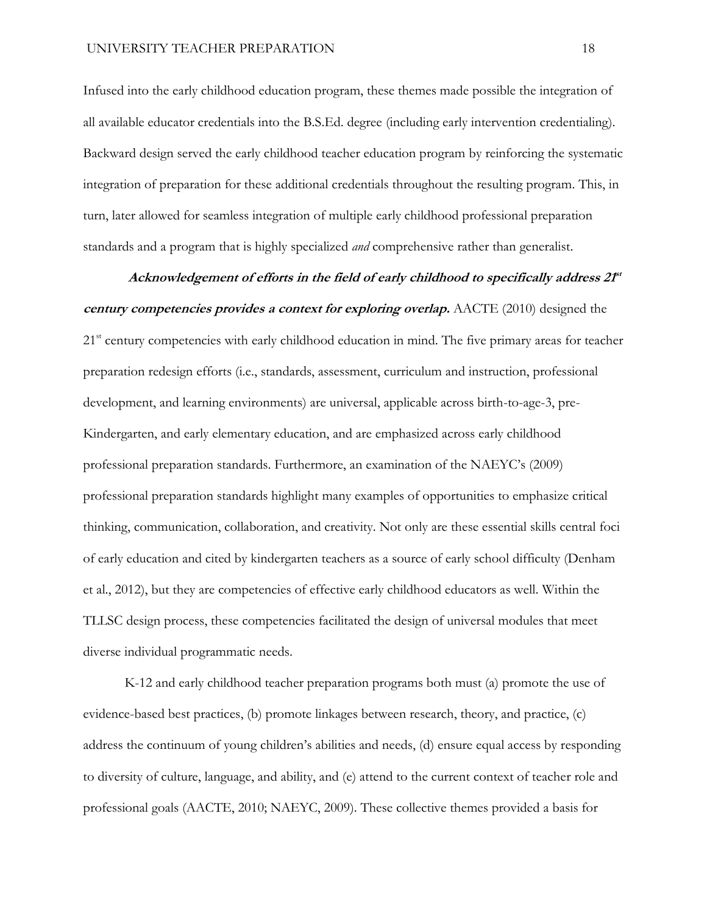Infused into the early childhood education program, these themes made possible the integration of all available educator credentials into the B.S.Ed. degree (including early intervention credentialing). Backward design served the early childhood teacher education program by reinforcing the systematic integration of preparation for these additional credentials throughout the resulting program. This, in turn, later allowed for seamless integration of multiple early childhood professional preparation standards and a program that is highly specialized *and* comprehensive rather than generalist.

**Acknowledgement of efforts in the field of early childhood to specifically address 21 st century competencies provides a context for exploring overlap.** AACTE (2010) designed the 21<sup>st</sup> century competencies with early childhood education in mind. The five primary areas for teacher preparation redesign efforts (i.e., standards, assessment, curriculum and instruction, professional development, and learning environments) are universal, applicable across birth-to-age-3, pre-Kindergarten, and early elementary education, and are emphasized across early childhood professional preparation standards. Furthermore, an examination of the NAEYC's (2009) professional preparation standards highlight many examples of opportunities to emphasize critical thinking, communication, collaboration, and creativity. Not only are these essential skills central foci of early education and cited by kindergarten teachers as a source of early school difficulty (Denham et al., 2012), but they are competencies of effective early childhood educators as well. Within the TLLSC design process, these competencies facilitated the design of universal modules that meet diverse individual programmatic needs.

K-12 and early childhood teacher preparation programs both must (a) promote the use of evidence-based best practices, (b) promote linkages between research, theory, and practice, (c) address the continuum of young children's abilities and needs, (d) ensure equal access by responding to diversity of culture, language, and ability, and (e) attend to the current context of teacher role and professional goals (AACTE, 2010; NAEYC, 2009). These collective themes provided a basis for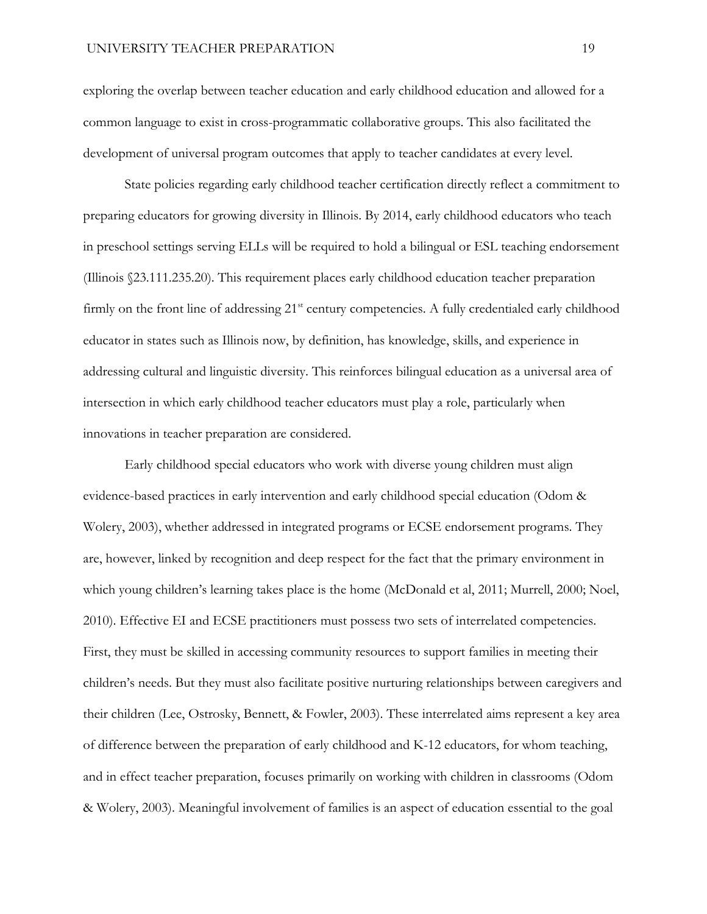exploring the overlap between teacher education and early childhood education and allowed for a common language to exist in cross-programmatic collaborative groups. This also facilitated the development of universal program outcomes that apply to teacher candidates at every level.

State policies regarding early childhood teacher certification directly reflect a commitment to preparing educators for growing diversity in Illinois. By 2014, early childhood educators who teach in preschool settings serving ELLs will be required to hold a bilingual or ESL teaching endorsement (Illinois §23.111.235.20). This requirement places early childhood education teacher preparation firmly on the front line of addressing 21<sup>st</sup> century competencies. A fully credentialed early childhood educator in states such as Illinois now, by definition, has knowledge, skills, and experience in addressing cultural and linguistic diversity. This reinforces bilingual education as a universal area of intersection in which early childhood teacher educators must play a role, particularly when innovations in teacher preparation are considered.

Early childhood special educators who work with diverse young children must align evidence-based practices in early intervention and early childhood special education (Odom & Wolery, 2003), whether addressed in integrated programs or ECSE endorsement programs. They are, however, linked by recognition and deep respect for the fact that the primary environment in which young children's learning takes place is the home (McDonald et al, 2011; Murrell, 2000; Noel, 2010). Effective EI and ECSE practitioners must possess two sets of interrelated competencies. First, they must be skilled in accessing community resources to support families in meeting their children's needs. But they must also facilitate positive nurturing relationships between caregivers and their children (Lee, Ostrosky, Bennett, & Fowler, 2003). These interrelated aims represent a key area of difference between the preparation of early childhood and K-12 educators, for whom teaching, and in effect teacher preparation, focuses primarily on working with children in classrooms (Odom & Wolery, 2003). Meaningful involvement of families is an aspect of education essential to the goal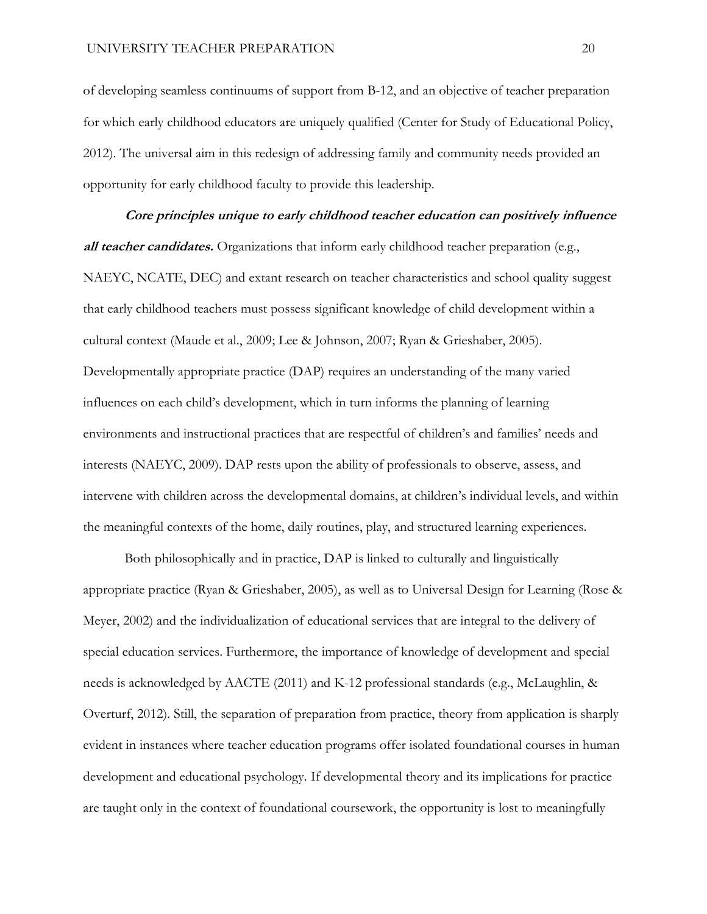of developing seamless continuums of support from B-12, and an objective of teacher preparation for which early childhood educators are uniquely qualified (Center for Study of Educational Policy, 2012). The universal aim in this redesign of addressing family and community needs provided an opportunity for early childhood faculty to provide this leadership.

**Core principles unique to early childhood teacher education can positively influence all teacher candidates.** Organizations that inform early childhood teacher preparation (e.g., NAEYC, NCATE, DEC) and extant research on teacher characteristics and school quality suggest that early childhood teachers must possess significant knowledge of child development within a cultural context (Maude et al., 2009; Lee & Johnson, 2007; Ryan & Grieshaber, 2005). Developmentally appropriate practice (DAP) requires an understanding of the many varied influences on each child's development, which in turn informs the planning of learning environments and instructional practices that are respectful of children's and families' needs and interests (NAEYC, 2009). DAP rests upon the ability of professionals to observe, assess, and intervene with children across the developmental domains, at children's individual levels, and within the meaningful contexts of the home, daily routines, play, and structured learning experiences.

Both philosophically and in practice, DAP is linked to culturally and linguistically appropriate practice (Ryan & Grieshaber, 2005), as well as to Universal Design for Learning (Rose & Meyer, 2002) and the individualization of educational services that are integral to the delivery of special education services. Furthermore, the importance of knowledge of development and special needs is acknowledged by AACTE (2011) and K-12 professional standards (e.g., McLaughlin, & Overturf, 2012). Still, the separation of preparation from practice, theory from application is sharply evident in instances where teacher education programs offer isolated foundational courses in human development and educational psychology. If developmental theory and its implications for practice are taught only in the context of foundational coursework, the opportunity is lost to meaningfully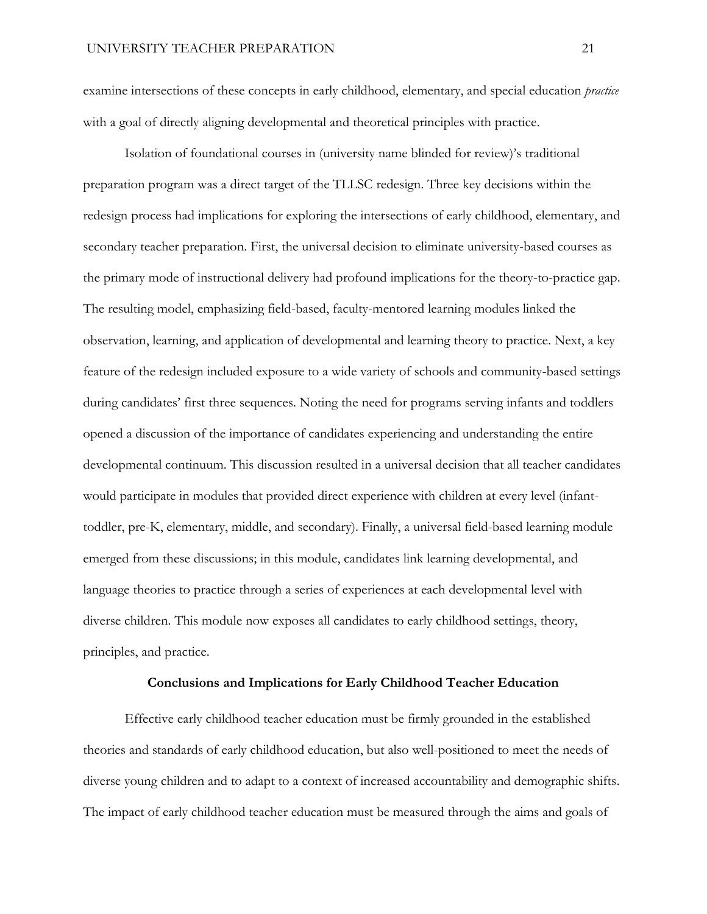examine intersections of these concepts in early childhood, elementary, and special education *practice* with a goal of directly aligning developmental and theoretical principles with practice.

Isolation of foundational courses in (university name blinded for review)'s traditional preparation program was a direct target of the TLLSC redesign. Three key decisions within the redesign process had implications for exploring the intersections of early childhood, elementary, and secondary teacher preparation. First, the universal decision to eliminate university-based courses as the primary mode of instructional delivery had profound implications for the theory-to-practice gap. The resulting model, emphasizing field-based, faculty-mentored learning modules linked the observation, learning, and application of developmental and learning theory to practice. Next, a key feature of the redesign included exposure to a wide variety of schools and community-based settings during candidates' first three sequences. Noting the need for programs serving infants and toddlers opened a discussion of the importance of candidates experiencing and understanding the entire developmental continuum. This discussion resulted in a universal decision that all teacher candidates would participate in modules that provided direct experience with children at every level (infanttoddler, pre-K, elementary, middle, and secondary). Finally, a universal field-based learning module emerged from these discussions; in this module, candidates link learning developmental, and language theories to practice through a series of experiences at each developmental level with diverse children. This module now exposes all candidates to early childhood settings, theory, principles, and practice.

#### **Conclusions and Implications for Early Childhood Teacher Education**

Effective early childhood teacher education must be firmly grounded in the established theories and standards of early childhood education, but also well-positioned to meet the needs of diverse young children and to adapt to a context of increased accountability and demographic shifts. The impact of early childhood teacher education must be measured through the aims and goals of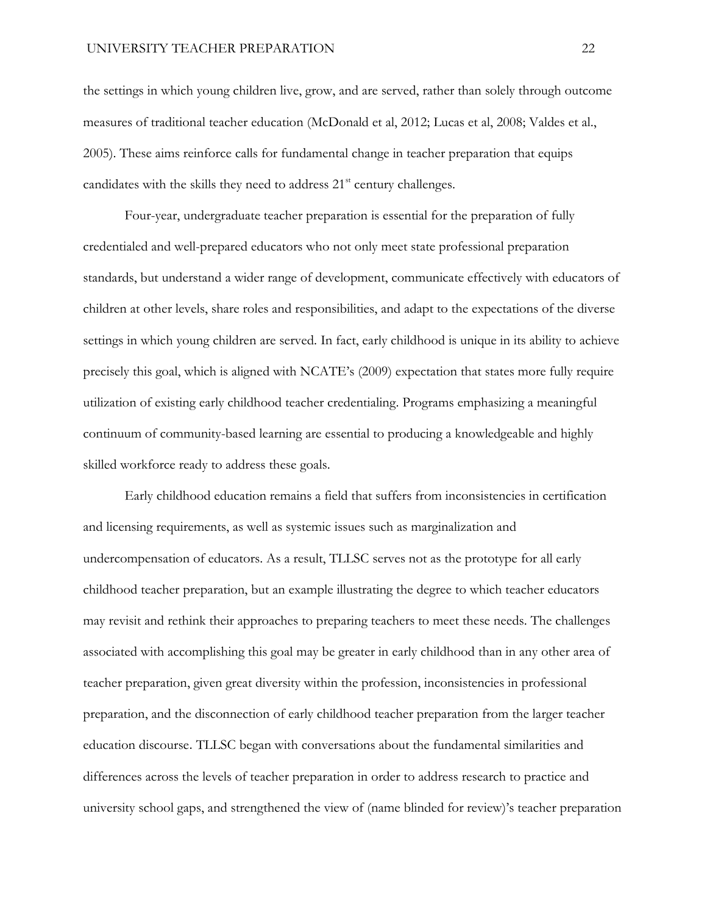the settings in which young children live, grow, and are served, rather than solely through outcome measures of traditional teacher education (McDonald et al, 2012; Lucas et al, 2008; Valdes et al., 2005). These aims reinforce calls for fundamental change in teacher preparation that equips candidates with the skills they need to address  $21<sup>st</sup>$  century challenges.

Four-year, undergraduate teacher preparation is essential for the preparation of fully credentialed and well-prepared educators who not only meet state professional preparation standards, but understand a wider range of development, communicate effectively with educators of children at other levels, share roles and responsibilities, and adapt to the expectations of the diverse settings in which young children are served. In fact, early childhood is unique in its ability to achieve precisely this goal, which is aligned with NCATE's (2009) expectation that states more fully require utilization of existing early childhood teacher credentialing. Programs emphasizing a meaningful continuum of community-based learning are essential to producing a knowledgeable and highly skilled workforce ready to address these goals.

Early childhood education remains a field that suffers from inconsistencies in certification and licensing requirements, as well as systemic issues such as marginalization and undercompensation of educators. As a result, TLLSC serves not as the prototype for all early childhood teacher preparation, but an example illustrating the degree to which teacher educators may revisit and rethink their approaches to preparing teachers to meet these needs. The challenges associated with accomplishing this goal may be greater in early childhood than in any other area of teacher preparation, given great diversity within the profession, inconsistencies in professional preparation, and the disconnection of early childhood teacher preparation from the larger teacher education discourse. TLLSC began with conversations about the fundamental similarities and differences across the levels of teacher preparation in order to address research to practice and university school gaps, and strengthened the view of (name blinded for review)'s teacher preparation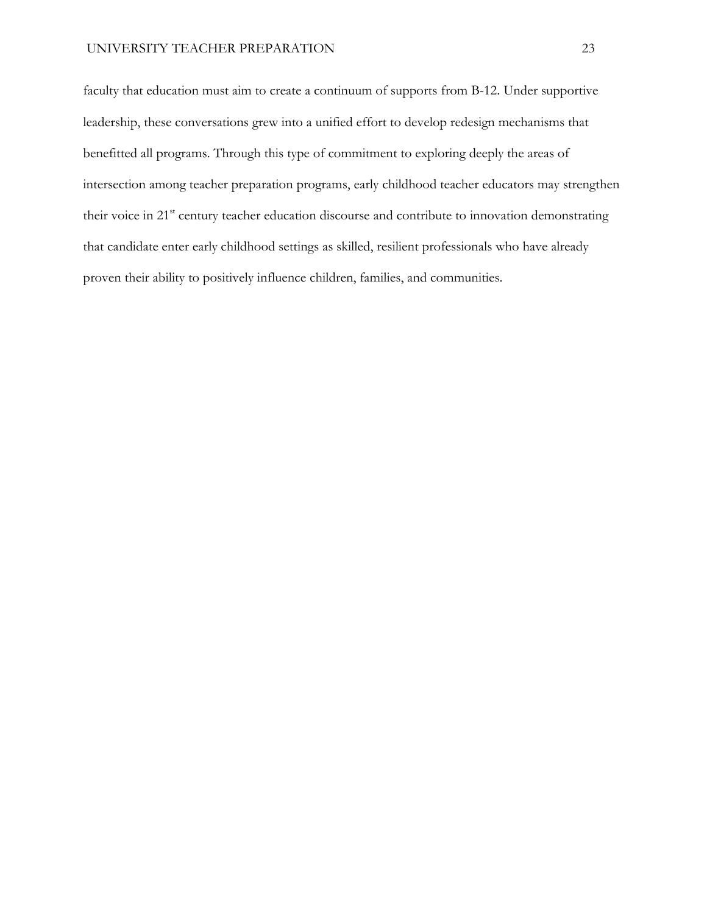faculty that education must aim to create a continuum of supports from B-12. Under supportive leadership, these conversations grew into a unified effort to develop redesign mechanisms that benefitted all programs. Through this type of commitment to exploring deeply the areas of intersection among teacher preparation programs, early childhood teacher educators may strengthen their voice in 21<sup>st</sup> century teacher education discourse and contribute to innovation demonstrating that candidate enter early childhood settings as skilled, resilient professionals who have already proven their ability to positively influence children, families, and communities.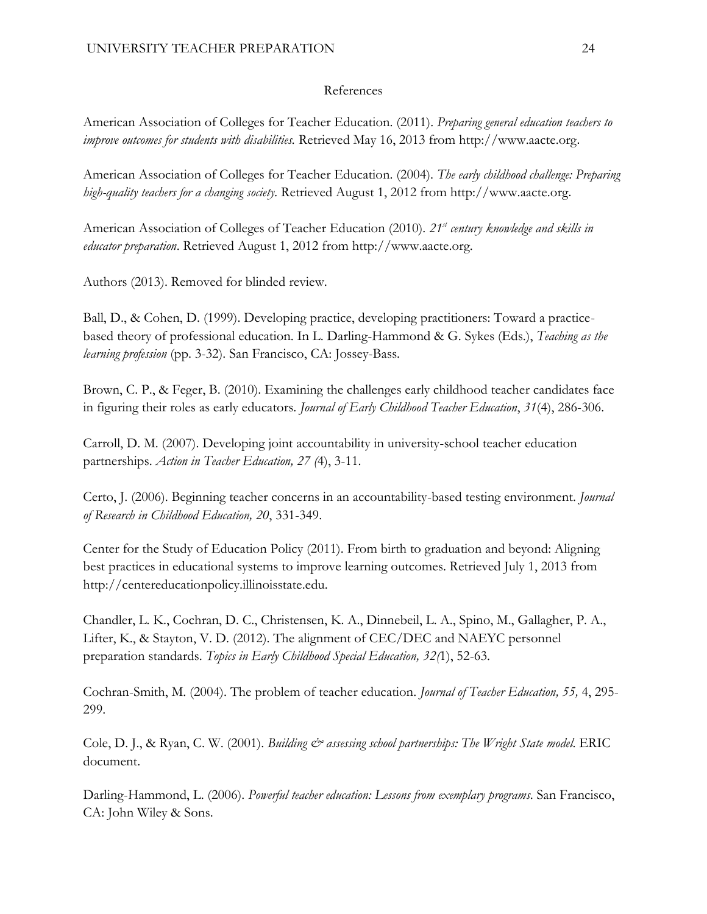# References

American Association of Colleges for Teacher Education. (2011). *Preparing general education teachers to improve outcomes for students with disabilities.* Retrieved May 16, 2013 fro[m](http://aacte.org/) [http://w](http://aacte.org/)ww[.aacte.org](http://aacte.org/).

American Association of Colleges for Teacher Education. (2004). *The early childhood challenge: Preparing high-quality teachers for a changing society.* Retrieved August 1, 2012 fro[m](http://aacte.org/) [http://w](http://aacte.org/)w[w.aacte.org](http://aacte.org/).

American Association of Colleges of Teacher Education (2010). *21st century knowledge and skills in educator preparation*. Retrieved August 1, 2012 from http://www.aacte.org.

Authors (2013). Removed for blinded review.

Ball, D., & Cohen, D. (1999). Developing practice, developing practitioners: Toward a practicebased theory of professional education. In L. Darling-Hammond & G. Sykes (Eds.), *Teaching as the learning profession* (pp. 3-32). San Francisco, CA: Jossey-Bass.

Brown, C. P., & Feger, B. (2010). Examining the challenges early childhood teacher candidates face in figuring their roles as early educators. *Journal of Early Childhood Teacher Education*, *31*(4), 286-306.

Carroll, D. M. (2007). Developing joint accountability in university-school teacher education partnerships. *Action in Teacher Education, 27 (*4), 3-11.

Certo, J. (2006). Beginning teacher concerns in an accountability-based testing environment. *Journal of Research in Childhood Education, 20*, 331-349.

Center for the Study of Education Policy (2011). From birth to graduation and beyond: Aligning best practices in educational systems to improve learning outcomes. Retrieved July 1, 2013 from http://centereducationpolicy.illinoisstate.edu.

Chandler, L. K., Cochran, D. C., Christensen, K. A., Dinnebeil, L. A., Spino, M., Gallagher, P. A., Lifter, K., & Stayton, V. D. (2012). The alignment of CEC/DEC and NAEYC personnel preparation standards. *Topics in Early Childhood Special Education, 32(*1), 52-63.

Cochran-Smith, M. (2004). The problem of teacher education. *Journal of Teacher Education, 55,* 4, 295- 299.

Cole, D. J., & Ryan, C. W. (2001). *Building*  $\breve{c}$  *assessing school partnerships: The Wright State model.* ERIC document.

Darling-Hammond, L. (2006). *Powerful teacher education: Lessons from exemplary programs*. San Francisco, CA: John Wiley & Sons.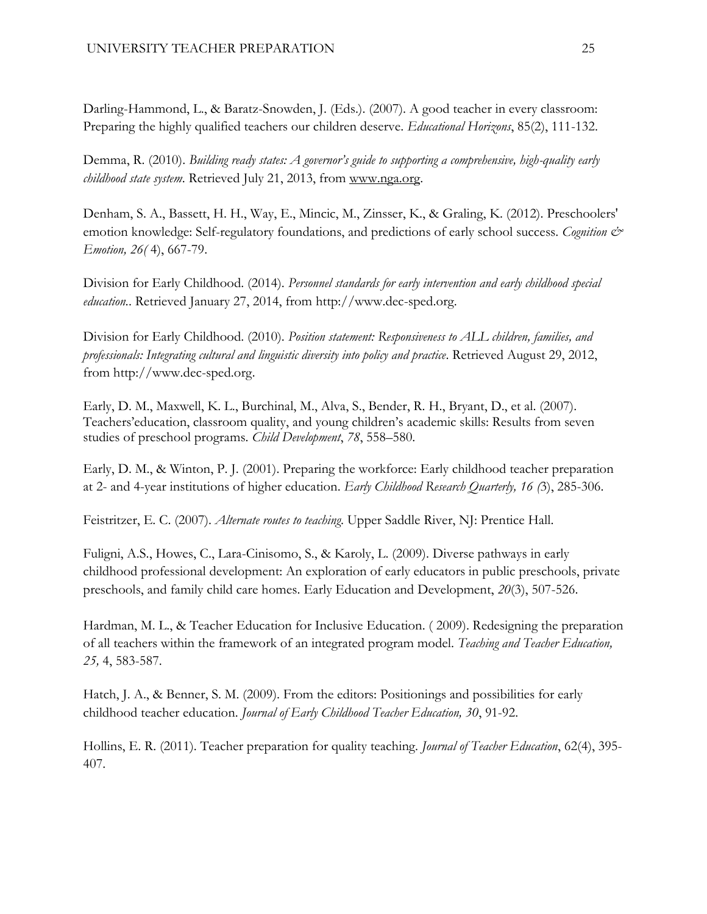Darling-Hammond, L., & Baratz-Snowden, J. (Eds.). (2007). A good teacher in every classroom: Preparing the highly qualified teachers our children deserve. *Educational Horizons*, 85(2), 111-132.

Demma, R. (2010). *Building ready states: A governor's guide to supporting a comprehensive, high-quality early childhood state system*. Retrieved July 21, 2013, from [www.nga.org.](http://www.nga.org/)

Denham, S. A., Bassett, H. H., Way, E., Mincic, M., Zinsser, K., & Graling, K. (2012). Preschoolers' emotion knowledge: Self-regulatory foundations, and predictions of early school success. *Cognition & Emotion, 26(* 4), 667-79.

Division for Early Childhood. (2014). *Personnel standards for early intervention and early childhood special education.*. Retrieved January 27, 2014, from http://www.dec-sped.org.

Division for Early Childhood. (2010). *Position statement: Responsiveness to ALL children, families, and professionals: Integrating cultural and linguistic diversity into policy and practice*. Retrieved August 29, 2012, from [http://www.dec-sped.org](http://www.dec-sped.org/uploads/docs/about_dec/position_concept_papers/Position%20Statement_Cultural%20and%20Linguistic%20Diversity_updated_sept2010.pdf).

Early, D. M., Maxwell, K. L., Burchinal, M., Alva, S., Bender, R. H., Bryant, D., et al. (2007). Teachers'education, classroom quality, and young children's academic skills: Results from seven studies of preschool programs. *Child Development*, *78*, 558–580.

Early, D. M., & Winton, P. J. (2001). Preparing the workforce: Early childhood teacher preparation at 2- and 4-year institutions of higher education. *Early Childhood Research Quarterly, 16 (*3), 285-306.

Feistritzer, E. C. (2007). *Alternate routes to teaching*. Upper Saddle River, NJ: Prentice Hall.

Fuligni, A.S., Howes, C., Lara-Cinisomo, S., & Karoly, L. (2009). Diverse pathways in early childhood professional development: An exploration of early educators in public preschools, private preschools, and family child care homes. Early Education and Development, *20*(3), 507-526.

Hardman, M. L., & Teacher Education for Inclusive Education. ( 2009). Redesigning the preparation of all teachers within the framework of an integrated program model. *Teaching and Teacher Education, 25,* 4, 583-587.

Hatch, J. A., & Benner, S. M. (2009). From the editors: Positionings and possibilities for early childhood teacher education. *Journal of Early Childhood Teacher Education, 30*, 91-92.

Hollins, E. R. (2011). Teacher preparation for quality teaching. *Journal of Teacher Education*, 62(4), 395- 407.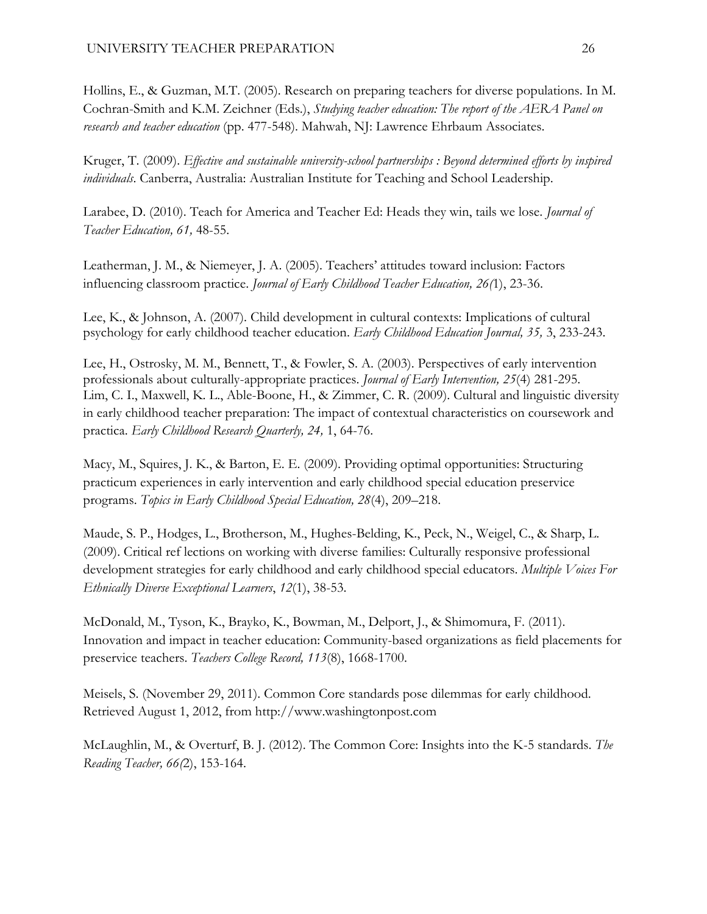Hollins, E., & Guzman, M.T. (2005). Research on preparing teachers for diverse populations. In M. Cochran-Smith and K.M. Zeichner (Eds.), *Studying teacher education: The report of the AERA Panel on research and teacher education* (pp. 477-548). Mahwah, NJ: Lawrence Ehrbaum Associates.

Kruger, T. (2009). *Effective and sustainable university-school partnerships : Beyond determined efforts by inspired individuals*. Canberra, Australia: Australian Institute for Teaching and School Leadership.

Larabee, D. (2010). Teach for America and Teacher Ed: Heads they win, tails we lose. *Journal of Teacher Education, 61,* 48-55.

Leatherman, J. M., & Niemeyer, J. A. (2005). Teachers' attitudes toward inclusion: Factors influencing classroom practice. *Journal of Early Childhood Teacher Education, 26(*1), 23-36.

Lee, K., & Johnson, A. (2007). Child development in cultural contexts: Implications of cultural psychology for early childhood teacher education. *Early Childhood Education Journal, 35,* 3, 233-243.

Lee, H., Ostrosky, M. M., Bennett, T., & Fowler, S. A. (2003). Perspectives of early intervention professionals about culturally-appropriate practices. *Journal of Early Intervention, 25*(4) 281-295. Lim, C. I., Maxwell, K. L., Able-Boone, H., & Zimmer, C. R. (2009). Cultural and linguistic diversity in early childhood teacher preparation: The impact of contextual characteristics on coursework and practica. *Early Childhood Research Quarterly, 24,* 1, 64-76.

Macy, M., Squires, J. K., & Barton, E. E. (2009). Providing optimal opportunities: Structuring practicum experiences in early intervention and early childhood special education preservice programs. *Topics in Early Childhood Special Education, 28*(4), 209–218.

Maude, S. P., Hodges, L., Brotherson, M., Hughes-Belding, K., Peck, N., Weigel, C., & Sharp, L. (2009). Critical ref lections on working with diverse families: Culturally responsive professional development strategies for early childhood and early childhood special educators. *Multiple Voices For Ethnically Diverse Exceptional Learners*, *12*(1), 38-53.

McDonald, M., Tyson, K., Brayko, K., Bowman, M., Delport, J., & Shimomura, F. (2011). Innovation and impact in teacher education: Community-based organizations as field placements for preservice teachers. *Teachers College Record, 113*(8), 1668-1700.

Meisels, S. (November 29, 2011). Common Core standards pose dilemmas for early childhood. Retrieved August 1, 2012, from [http://www.](http://www.washingtonpost.com./)washingtonpost.com

McLaughlin, M., & Overturf, B. J. (2012). The Common Core: Insights into the K-5 standards. *The Reading Teacher, 66(*2), 153-164.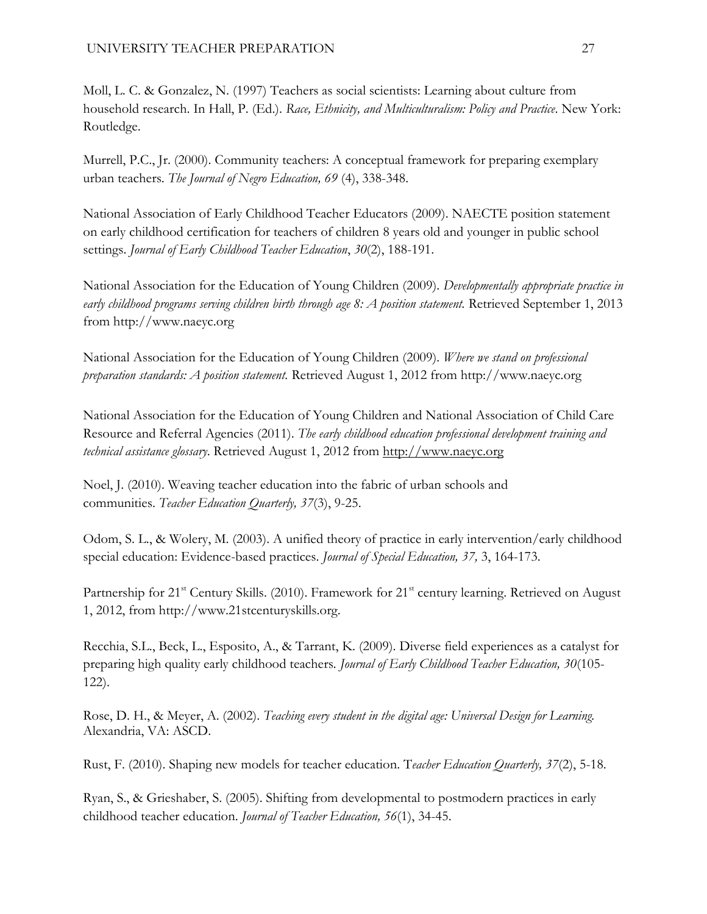# UNIVERSITY TEACHER PREPARATION 27

Moll, L. C. & Gonzalez, N. (1997) Teachers as social scientists: Learning about culture from household research. In Hall, P. (Ed.). *Race, Ethnicity, and Multiculturalism: Policy and Practice*. New York: Routledge.

Murrell, P.C., Jr. (2000). Community teachers: A conceptual framework for preparing exemplary urban teachers. *The Journal of Negro Education, 69* (4), 338-348.

National Association of Early Childhood Teacher Educators (2009). NAECTE position statement on early childhood certification for teachers of children 8 years old and younger in public school settings. *Journal of Early Childhood Teacher Education*, *30*(2), 188-191.

National Association for the Education of Young Children (2009). *Developmentally appropriate practice in early childhood programs serving children birth through age 8: A position statement.* Retrieved September 1, 2013 from [http://www.naeyc.org](http://www.naeyc.org/)

National Association for the Education of Young Children (2009). *Where we stand on professional preparation standards: A position statement.* Retrieved August 1, 2012 from [http://www.naeyc.org](http://www.naeyc.org/)

National Association for the Education of Young Children and National Association of Child Care Resource and Referral Agencies (2011). *The early childhood education professional development training and technical assistance glossary*. Retrieved August 1, 2012 from [http://www.naeyc.o](http://www.naeyc.org./)rg

Noel, J. (2010). Weaving teacher education into the fabric of urban schools and communities. *Teacher Education Quarterly, 37*(3), 9-25.

Odom, S. L., & Wolery, M. (2003). A unified theory of practice in early intervention/early childhood special education: Evidence-based practices. *Journal of Special Education, 37,* 3, 164-173.

Partnership for 21<sup>st</sup> Century Skills. (2010). Framework for 21<sup>st</sup> century learning. Retrieved on August 1, 2012, from http://www.21stcenturyskills.org.

Recchia, S.L., Beck, L., Esposito, A., & Tarrant, K. (2009). Diverse field experiences as a catalyst for preparing high quality early childhood teachers*. Journal of Early Childhood Teacher Education, 30*(105- 122).

Rose, D. H., & Meyer, A. (2002). *Teaching every student in the digital age: Universal Design for Learning.* Alexandria, VA: ASCD.

Rust, F. (2010). Shaping new models for teacher education. T*eacher Education Quarterly, 37*(2), 5-18.

Ryan, S., & Grieshaber, S. (2005). Shifting from developmental to postmodern practices in early childhood teacher education. *Journal of Teacher Education, 56*(1), 34-45.